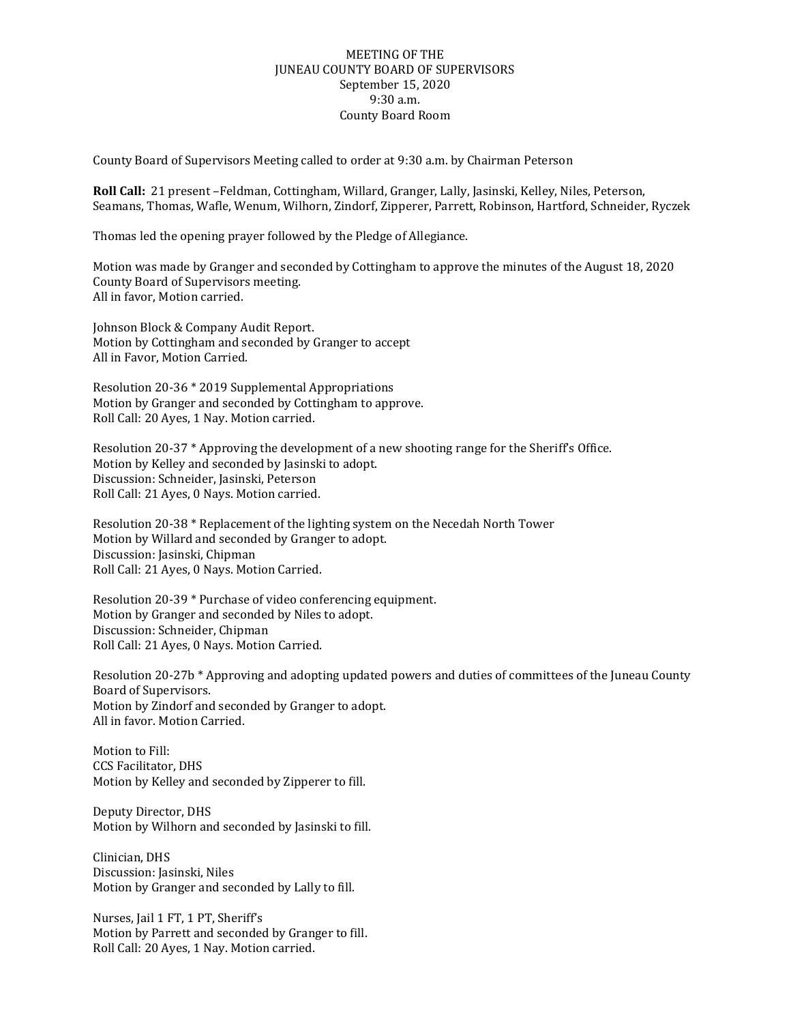## MEETING OF THE JUNEAU COUNTY BOARD OF SUPERVISORS September 15, 2020 9:30 a.m. County Board Room

County Board of Supervisors Meeting called to order at 9:30 a.m. by Chairman Peterson

**Roll Call:** 21 present –Feldman, Cottingham, Willard, Granger, Lally, Jasinski, Kelley, Niles, Peterson, Seamans, Thomas, Wafle, Wenum, Wilhorn, Zindorf, Zipperer, Parrett, Robinson, Hartford, Schneider, Ryczek

Thomas led the opening prayer followed by the Pledge of Allegiance.

Motion was made by Granger and seconded by Cottingham to approve the minutes of the August 18, 2020 County Board of Supervisors meeting. All in favor, Motion carried.

Johnson Block & Company Audit Report. Motion by Cottingham and seconded by Granger to accept All in Favor, Motion Carried.

Resolution 20-36 \* 2019 Supplemental Appropriations Motion by Granger and seconded by Cottingham to approve. Roll Call: 20 Ayes, 1 Nay. Motion carried.

Resolution 20-37 \* Approving the development of a new shooting range for the Sheriff's Office. Motion by Kelley and seconded by Jasinski to adopt. Discussion: Schneider, Jasinski, Peterson Roll Call: 21 Ayes, 0 Nays. Motion carried.

Resolution 20-38 \* Replacement of the lighting system on the Necedah North Tower Motion by Willard and seconded by Granger to adopt. Discussion: Jasinski, Chipman Roll Call: 21 Ayes, 0 Nays. Motion Carried.

Resolution 20-39 \* Purchase of video conferencing equipment. Motion by Granger and seconded by Niles to adopt. Discussion: Schneider, Chipman Roll Call: 21 Ayes, 0 Nays. Motion Carried.

Resolution 20-27b \* Approving and adopting updated powers and duties of committees of the Juneau County Board of Supervisors. Motion by Zindorf and seconded by Granger to adopt. All in favor. Motion Carried.

Motion to Fill: CCS Facilitator, DHS Motion by Kelley and seconded by Zipperer to fill.

Deputy Director, DHS Motion by Wilhorn and seconded by Jasinski to fill.

Clinician, DHS Discussion: Jasinski, Niles Motion by Granger and seconded by Lally to fill.

Nurses, Jail 1 FT, 1 PT, Sheriff's Motion by Parrett and seconded by Granger to fill. Roll Call: 20 Ayes, 1 Nay. Motion carried.